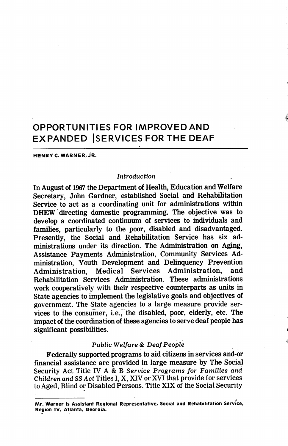# OPPORTUNITIES FOR IMPROVED AND EXPANDED ISERVICES FOR THE DEAF

HENRY C. WARNER. JR.

#### Introduction

In August of 1967 the Department of Health, Education and Welfare Secretary, John Gardner, established Social and Rehabilitation Service to act as a coordinating unit for administrations within DHEW directing domestic programming. The objective was to develop a coordinated continuum of services to individuals and families, particularly to the poor, disabled and disadvantaged. Presently, the Social and Rehabilitation Service has six ad ministrations under its direction. The Administration on Aging, Assistance Payments Administration, Community Services Ad ministration, Youth Development and Delinquency Prevention Administration, Medical Services Administration, Rehabilitation Services Administration. These administrations work cooperatively with their respective counterparts as units in State agencies to implement the legislative goals and objectives of government. The State agencies to a large measure provide ser vices to the consumer, i.e., the disabled, poor, elderly, etc. The impact of the coordination of these agencies to serve deaf people has significant possibilities.

#### Public Welfare & Deaf People

Federally supported programs to aid citizens in services and-or financial assistance are provided in large measure by The Social Security Act Title IV A & B Service Programs for Families and Children and 33 Act Titles I, X, XIV or XVI that provide for services to Aged, Blind or Disabled Persons. Title XIX of the Social Security

Mr. Warner is Assistant Regional Representative, Social and Rehabilitation Service, Region IV, Atlanta, Georaia.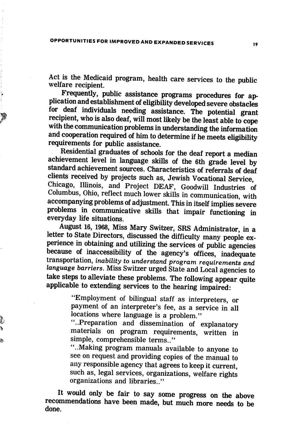Act is the Medicaid program, health care services to the public welfare recipient.

Frequently, public assistance programs procedures for ap plication and establishment of eligibility developed severe obstacles for deaf individuals needing assistance. The potential grant recipient, who is also deaf, will most likely be the least able to cope with the communication problems in understanding the information and cooperation required of him to determine if he meets eligibility requirements for public assistance.

Residential graduates of schools for the deaf report a median achievement level in language skills of the 6th grade level by standard achievement sources. Characteristics of referrals of deaf clients received by projects such as, Jewish Vocational Service, Chicago, Illinois, and Project DEAF, Goodwill Industries of Columbus, Ohio, reflect much lower skills in communication, with accompanying problems of adjustment. This in itself implies severe problems in communicative skills that impair functioning in everyday life situations.

August 16, 1968, Miss Mary Switzer, SRS Administrator, in a letter to State Directors, discussed the difficulty many people ex perience in obtaining and utilizing the services of public agencies because of inaccessibility of the agency's offices, inadequate transportation, inability to understand program requirements and language barriers. Miss Switzer urged State and Local agencies to take steps to alleviate these problems. The following appear quite applicable to extending services to the hearing impaired:

> "Employment of bilingual staff as interpreters, or payment of an interpreter's fee, as a service in all locations where language is a problem."

> "..Preparation and dissemination of explanatory materials on program requirements, written in simple, comprehensible terms.."

ģ

"..Making program manuals available to anyone to see on request and providing copies of the manual to any responsible agency that agrees to keep it current, such as, legal services, organizations, welfare rights organizations and libraries.."

It would only be fair to say some progress on the above recommendations have been made, but much more needs to be done.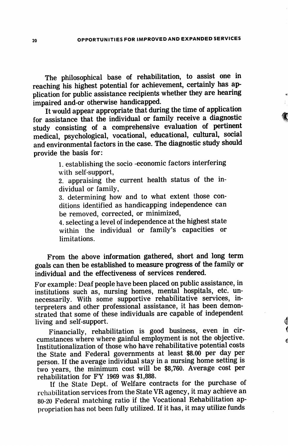The philosophical base of rehabilitation, to assist one in reaching his highest potential for achievement, certainly has ap plication for public assistance recipients whether they are hearing impaired and-or otherwise handicapped.

It would appear appropriate that during the time of application for assistance that the individual or family receive a diagnostic study consisting of a comprehensive evaluation of pertinent medical, psychological, vocational, educational, cultural, social and environmental factors in the case. The diagnostic study should provide the basis for:

> 1. establishing the socio -economic factors interfering with self-support,

> 2. appraising the current health status of the in dividual or family,

> 3. determining how and to what extent those con ditions identified as handicapping independence can be removed, corrected, or minimized,

> 4. selecting a level of independence at the highest state within the individual or family's capacities or limitations.

From the above information gathered, short and long term goals can then be established to measure progress of the family or individual and the effectiveness of services rendered.

For example: Deaf people have been placed on public assistance, in institutions such as, nursing homes, mental hospitals, etc. un necessarily. With some supportive rehabilitative services, in terpreters and other professional assistance, it has been demon strated that some of these individuals are capable of independent living and self-support.

Financially, rehabilitation is good business, even in cir cumstances where where gainful employment is not the objective. Institutionalization of those who have rehabilitative potential costs the State and Federal governments at least \$8.00 per day per person. If the average individual stay in a nursing home setting is two years, the minimum cost will be \$8,760. Average cost per rehabilitation for FY 1969 was \$1,888.

If the State Dept. of Welfare contracts for the purchase of rehabilitation services from the State VR agency, it may achieve an 80-20 Federal matching ratio if the Vocational Rehabilitation ap propriation has not been fully utilized. If it has, it may utilize funds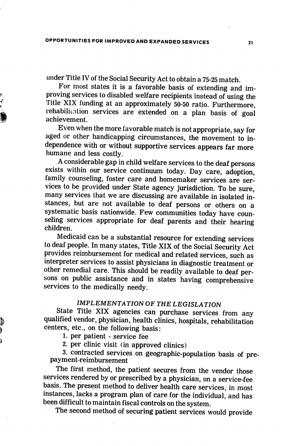under Title IV of the Social Security Act to obtain a 75-25 match.

For most states it is a favorable basis of extending and im proving services to disabled welfare recipients instead of using the Title XIX funding at an approximately 50-50 ratio. Furthermore, rehabilitation services are extended on a plan basis of goal achievement.

Even when the more favorable match is not appropriate, say for aged or other handicapping circumstances, the movement to in dependence with or without supportive services appears far more humane and less costly.

A considerable gap in child welfare services to the deaf persons exists within our service continuum today. Day care, adoption, family counseling, foster care and homemaker services are ser vices to be provided under State agency jurisdiction. To be sure, many services that we are discussing are available in isolated in stances, but are not available to deaf persons or others on a systematic basis nationwide. Few communities today have coun seling services appropriate for deaf parents and their hearing children.

Medicaid can be a substantial resource for extending services to deaf people. In many states. Title XIX of the Social Security Act provides reimbursement for medical and related services, such as interpreter services to assist physicians in diagnostic treatment or other remedial care. This should be readily available to deaf per sons on public assistance and in states having comprehensive services to the medically needy.

## IMPLEMENTATION OF THE LEGISLATION

State Title XIX agencies can purchase services from any qualified vendor, physician, health clinics, hospitals, rehabilitation centers, etc., on the following basis;

1. per patient - service fee

þ

2. per clinic visit (in approved clinics)

3. contracted services on geographic-population basis of pre payment-reimbursement

The first method, the patient secures from the vendor those services rendered by or prescribed by a physician, on a service-fee basis. The present method to deliver health care services, in most instances, lacks a program plan of care for the individual, and has been difficult to maintain fiscal controls on the system.

The second method of securing patient services would provide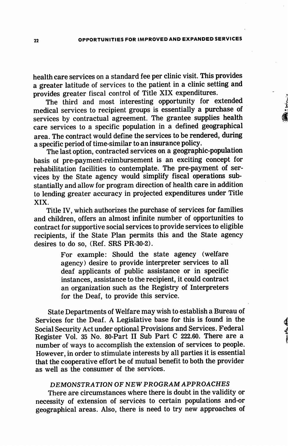health care services on a standard fee per clinic visit. This provides a greater latitude of services to the patient in a clinic setting and provides greater fiscal control of Title XIX expenditures.

The third and most interesting opportunity for extended medical services to recipient groups is essentially a purchase of services by contractual agreement. The grantee supplies health care services to a specific population in a defined geographical area. The contract would define the services to be rendered, during a specific period of time-similar to an insurance policy.

The last option, contracted services on a geographic-population basis of pre-payment-reimbursement is an exciting concept for rehabilitation facilities to contemplate. The pre-payment of ser vices by the State agency would simplify fiscal operations sub stantially and allow for program direction of health care in addition to lending greater accuracy in projected expenditures under Title XIX.

Title IV, which authorizes the purchase of services for families and children, offers an almost infinite number of opportunities to contract for supportive social services to provide services to eligible recipients, if the State Plan permits this and the State agency desires to do so, (Ref. SRS PR-30-2).

> For example: Should the state agency (welfare agency) desire to provide interpreter services to all deaf applicants of public assistance or in specific instances, assistance to the recipient, it could contract an organization such as the Registry of Interpreters for the Deaf, to provide this service.

State Departments of Welfare may wish to establish a Bureau of Services for the Deaf. A Legislative base for this is found in the Social Security Act under optional Provisions and Services. Federal Register Vol. 35 No. 80-Part 11 Sub Part C 222.60. There are a number of ways to accomplish the extension of services to people. However, in order to stimulate interests by all parties it is essential that the cooperative effort be of mutual benefit to both the provider as well as the consumer of the services.

### DEMONSTRATION OF NEW PROGRAM APPROACHES

There are circumstances where there is doubt in the validity or necessity of extension of services to certain populations and-or geographical areas. Also, there is need to try new approaches of